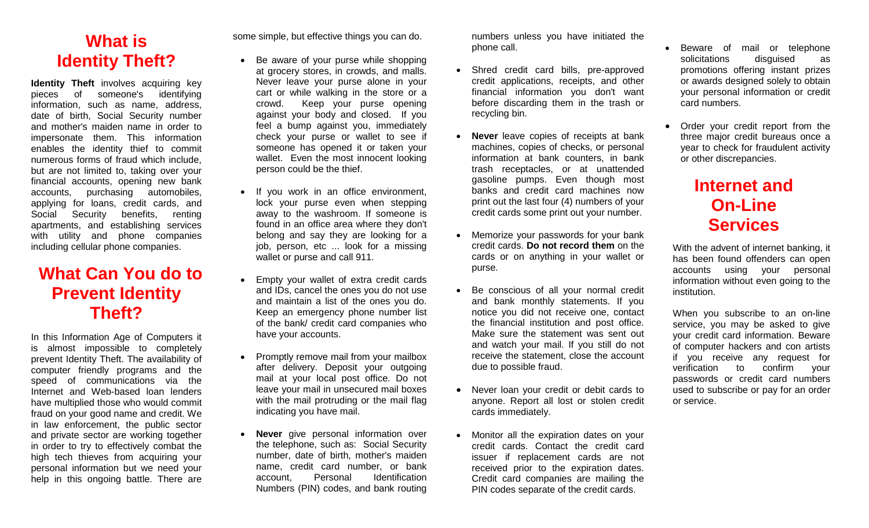# **What is Identity Theft?**

**Identity Theft** involves acquiring key pieces of someone's identifying information, such as name, address, date of birth, Social Security number and mother's maiden name in order to impersonate them. This information enables the identity thief to commit numerous forms of fraud which include, but are not limited to, taking over your financial accounts, opening new bank accounts, purchasing automobiles, applying for loans, credit cards, and Social Security benefits, renting apartments, and establishing services with utility and phone companies including cellular phone companies.

## **What Can You do to Prevent Identity Theft?**

In this Information Age of Computers it is almost impossible to completely prevent Identity Theft. The availability of computer friendly programs and the speed of communications via the Internet and Web-based loan lenders have multiplied those who would commit fraud on your good name and credit. We in law enforcement, the public sector and private sector are working together in order to try to effectively combat the high tech thieves from acquiring your personal information but we need your help in this ongoing battle. There are some simple, but effective things you can do.

- Be aware of your purse while shopping at grocery stores, in crowds, and malls. Never leave your purse alone in your cart or while walking in the store or a crowd. Keep your purse opening against your body and closed. If you feel a bump against you, immediately check your purse or wallet to see if someone has opened it or taken your wallet. Even the most innocent looking person could be the thief.
- If you work in an office environment, lock your purse even when stepping away to the washroom. If someone is found in an office area where they don't belong and say they are looking for a job, person, etc ... look for a missing wallet or purse and call 911.
- Empty your wallet of extra credit cards and IDs, cancel the ones you do not use and maintain a list of the ones you do. Keep an emergency phone number list of the bank/ credit card companies who have your accounts.
- Promptly remove mail from your mailbox after delivery. Deposit your outgoing mail at your local post office. Do not leave your mail in unsecured mail boxes with the mail protruding or the mail flag indicating you have mail.
- **Never** give personal information over the telephone, such as: Social Security number, date of birth, mother's maiden name, credit card number, or bank account, Personal Identification Numbers (PIN) codes, and bank routing

numbers unless you have initiated the phone call.

- Shred credit card bills, pre-approved credit applications, receipts, and other financial information you don't want before discarding them in the trash or recycling bin.
- **Never** leave copies of receipts at bank machines, copies of checks, or personal information at bank counters, in bank trash receptacles, or at unattended gasoline pumps. Even though most banks and credit card machines now print out the last four (4) numbers of your credit cards some print out your number.
- Memorize your passwords for your bank credit cards. **Do not record them** on the cards or on anything in your wallet or purse.
- Be conscious of all your normal credit and bank monthly statements. If you notice you did not receive one, contact the financial institution and post office. Make sure the statement was sent out and watch your mail. If you still do not receive the statement, close the account due to possible fraud.
- Never loan your credit or debit cards to anyone. Report all lost or stolen credit cards immediately.
- Monitor all the expiration dates on your credit cards. Contact the credit card issuer if replacement cards are not received prior to the expiration dates. Credit card companies are mailing the PIN codes separate of the credit cards.
- Beware of mail or telephone solicitations disguised as promotions offering instant prizes or awards designed solely to obtain your personal information or credit card numbers.
- Order your credit report from the three major credit bureaus once a year to check for fraudulent activity or other discrepancies.

## **Internet and On-Line Services**

With the advent of internet banking, it has been found offenders can open accounts using your personal information without even going to the institution.

When you subscribe to an on-line service, you may be asked to give your credit card information. Beware of computer hackers and con artists if you receive any request for verification to confirm your passwords or credit card numbers used to subscribe or pay for an order or service.